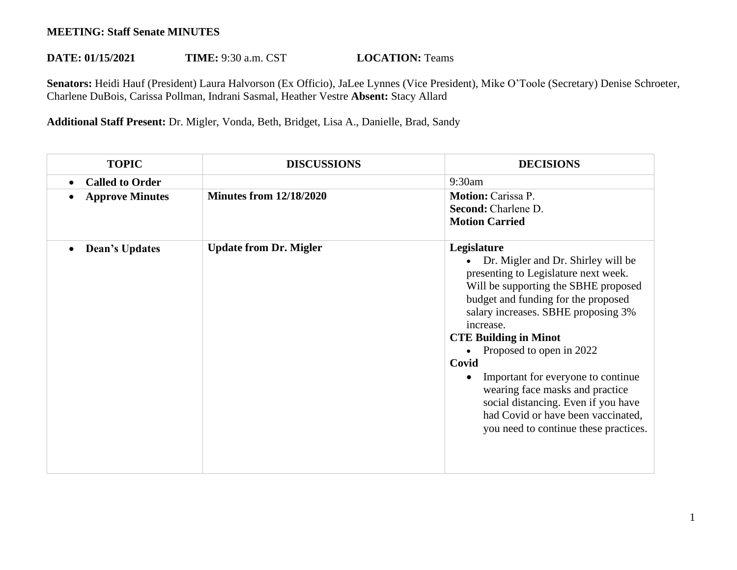## **MEETING: Staff Senate MINUTES**

## **DATE: 01/15/2021 TIME:** 9:30 a.m. CST **LOCATION:** Teams

**Senators:** Heidi Hauf (President) Laura Halvorson (Ex Officio), JaLee Lynnes (Vice President), Mike O'Toole (Secretary) Denise Schroeter, Charlene DuBois, Carissa Pollman, Indrani Sasmal, Heather Vestre **Absent:** Stacy Allard

**Additional Staff Present:** Dr. Migler, Vonda, Beth, Bridget, Lisa A., Danielle, Brad, Sandy

| <b>TOPIC</b>           | <b>DISCUSSIONS</b>             | <b>DECISIONS</b>                                                                                                                                                                                                                                                                                                                                                                                                                                                                                 |
|------------------------|--------------------------------|--------------------------------------------------------------------------------------------------------------------------------------------------------------------------------------------------------------------------------------------------------------------------------------------------------------------------------------------------------------------------------------------------------------------------------------------------------------------------------------------------|
| <b>Called to Order</b> |                                | 9:30am                                                                                                                                                                                                                                                                                                                                                                                                                                                                                           |
| <b>Approve Minutes</b> | <b>Minutes from 12/18/2020</b> | <b>Motion: Carissa P.</b><br>Second: Charlene D.<br><b>Motion Carried</b>                                                                                                                                                                                                                                                                                                                                                                                                                        |
| <b>Dean's Updates</b>  | <b>Update from Dr. Migler</b>  | Legislature<br>Dr. Migler and Dr. Shirley will be<br>presenting to Legislature next week.<br>Will be supporting the SBHE proposed<br>budget and funding for the proposed<br>salary increases. SBHE proposing 3%<br>increase.<br><b>CTE Building in Minot</b><br>Proposed to open in 2022<br>Covid<br>Important for everyone to continue<br>wearing face masks and practice<br>social distancing. Even if you have<br>had Covid or have been vaccinated,<br>you need to continue these practices. |